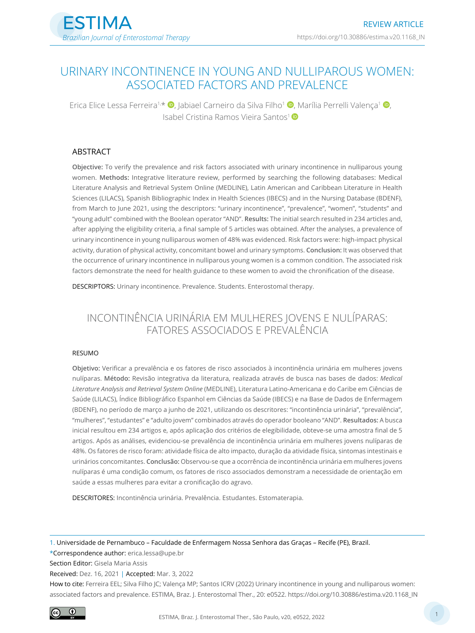# URINARY INCONTINENCE IN YOUNG AND NULLIPAROUS WOMEN: ASSOCIATED FACTORS AND PREVALENCE

Erica Elice Lessa Ferreira<sup>1[,](https://orcid.org/0000-0002-6011-5585)\*</sup>  $\bullet$ , Jabiael Carneiro da Silva Filho<sup>1</sup>  $\bullet$ , Marília Perrelli Valença<sup>1</sup>  $\bullet$ , Isabel Cristina Ramos Vieira Santos<sup>1</sup>

#### ABSTRACT

**Objective:** To verify the prevalence and risk factors associated with urinary incontinence in nulliparous young women. **Methods:** Integrative literature review, performed by searching the following databases: Medical Literature Analysis and Retrieval System Online (MEDLINE), Latin American and Caribbean Literature in Health Sciences (LILACS), Spanish Bibliographic Index in Health Sciences (IBECS) and in the Nursing Database (BDENF), from March to June 2021, using the descriptors: "urinary incontinence", "prevalence", "women", "students" and "young adult" combined with the Boolean operator "AND". **Results:** The initial search resulted in 234 articles and, after applying the eligibility criteria, a final sample of 5 articles was obtained. After the analyses, a prevalence of urinary incontinence in young nulliparous women of 48% was evidenced. Risk factors were: high-impact physical activity, duration of physical activity, concomitant bowel and urinary symptoms. **Conclusion:** It was observed that the occurrence of urinary incontinence in nulliparous young women is a common condition. The associated risk factors demonstrate the need for health guidance to these women to avoid the chronification of the disease.

DESCRIPTORS: Urinary incontinence. Prevalence. Students. Enterostomal therapy.

# INCONTINÊNCIA URINÁRIA EM MULHERES JOVENS E NULÍPARAS: FATORES ASSOCIADOS E PREVALÊNCIA

#### **RESUMO**

**Objetivo:** Verificar a prevalência e os fatores de risco associados à incontinência urinária em mulheres jovens nulíparas. **Método:** Revisão integrativa da literatura, realizada através de busca nas bases de dados: *Medical Literature Analysis and Retrieval System Online* (MEDLINE), Literatura Latino-Americana e do Caribe em Ciências de Saúde (LILACS), Índice Bibliográfico Espanhol em Ciências da Saúde (IBECS) e na Base de Dados de Enfermagem (BDENF), no período de março a junho de 2021, utilizando os descritores: "incontinência urinária", "prevalência", "mulheres", "estudantes" e "adulto jovem" combinados através do operador booleano "AND". **Resultados:** A busca inicial resultou em 234 artigos e, após aplicação dos critérios de elegibilidade, obteve-se uma amostra final de 5 artigos. Após as análises, evidenciou-se prevalência de incontinência urinária em mulheres jovens nulíparas de 48%. Os fatores de risco foram: atividade física de alto impacto, duração da atividade física, sintomas intestinais e urinários concomitantes. **Conclusão:** Observou-se que a ocorrência de incontinência urinária em mulheres jovens nulíparas é uma condição comum, os fatores de risco associados demonstram a necessidade de orientação em saúde a essas mulheres para evitar a cronificação do agravo.

DESCRITORES: Incontinência urinária. Prevalência. Estudantes. Estomaterapia.

1. Universidade de Pernambuco – Faculdade de Enfermagem Nossa Senhora das Graças – Recife (PE), Brazil.

\*Correspondence author: [erica.lessa@upe.br](mailto:erica.lessa@upe.br)

Section Editor: Gisela Maria Assis

Received: Dez. 16, 2021 | Accepted: Mar. 3, 2022

How to cite: Ferreira EEL; Silva Filho JC; Valença MP; Santos ICRV (2022) Urinary incontinence in young and nulliparous women: associated factors and prevalence. ESTIMA, Braz. J. Enterostomal Ther., 20: e0522. [https://doi.org/10.30886/estima.v20.1168\\_I](https://doi.org/10.30886/estima.v20.1168_IN)N

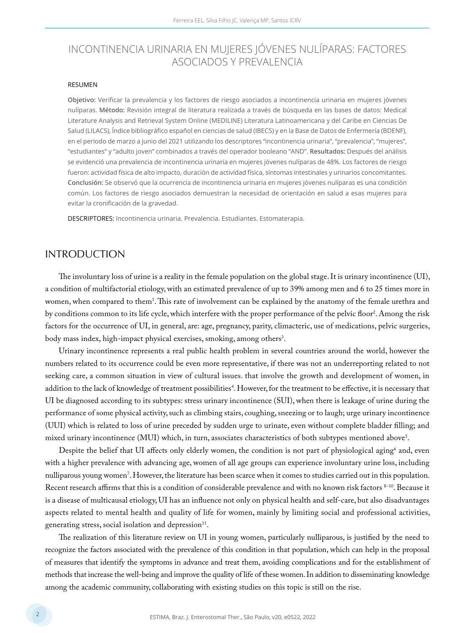# INCONTINENCIA URINARIA EN MUJERES JÓVENES NULÍPARAS: FACTORES ASOCIADOS Y PREVALENCIA

#### RESUMEN

**Objetivo:** Verificar la prevalencia y los factores de riesgo asociados a incontinencia urinaria en mujeres jóvenes nulíparas. **Método:** Revisión integral de literatura realizada a través de búsqueda en las bases de datos: Medical Literature Analysis and Retrieval System Online (MEDILINE) Literatura Latinoamericana y del Caribe en Ciencias De Salud (LILACS), Índice bibliográfico español en ciencias de salud (IBECS) y en la Base de Datos de Enfermería (BDENF), en el periodo de marzo a junio del 2021 utilizando los descriptores "incontinencia urinaria", "prevalencia", "mujeres", "estudiantes" y "adulto joven" combinados a través del operador booleano "AND". **Resultados:** Después del análisis se evidenció una prevalencia de incontinencia urinaria en mujeres jóvenes nulíparas de 48%. Los factores de riesgo fueron: actividad física de alto impacto, duración de actividad física, síntomas intestinales y urinarios concomitantes. **Conclusión:** Se observó que la ocurrencia de incontinencia urinaria en mujeres jóvenes nulíparas es una condición común. Los factores de riesgo asociados demuestran la necesidad de orientación en salud a esas mujeres para evitar la cronificación de la gravedad.

DESCRIPTORES: Incontinencia urinaria. Prevalencia. Estudiantes. Estomaterapia.

#### INTRODUCTION

The involuntary loss of urine is a reality in the female population on the global stage. It is urinary incontinence (UI), a condition of multifactorial etiology, with an estimated prevalence of up to 39% among men and 6 to 25 times more in women, when compared to them<sup>1</sup>. This rate of involvement can be explained by the anatomy of the female urethra and by conditions common to its life cycle, which interfere with the proper performance of the pelvic floor<sup>2</sup>. Among the risk factors for the occurrence of UI, in general, are: age, pregnancy, parity, climacteric, use of medications, pelvic surgeries, body mass index, high-impact physical exercises, smoking, among others<sup>3</sup>.

Urinary incontinence represents a real public health problem in several countries around the world, however the numbers related to its occurrence could be even more representative, if there was not an underreporting related to not seeking care, a common situation in view of cultural issues. that involve the growth and development of women, in addition to the lack of knowledge of treatment possibilities<sup>4</sup>. However, for the treatment to be effective, it is necessary that UI be diagnosed according to its subtypes: stress urinary incontinence (SUI), when there is leakage of urine during the performance of some physical activity, such as climbing stairs, coughing, sneezing or to laugh; urge urinary incontinence (UUI) which is related to loss of urine preceded by sudden urge to urinate, even without complete bladder filling; and mixed urinary incontinence (MUI) which, in turn, associates characteristics of both subtypes mentioned above<sup>s</sup>.

Despite the belief that UI affects only elderly women, the condition is not part of physiological aging<sup>6</sup> and, even with a higher prevalence with advancing age, women of all age groups can experience involuntary urine loss, including nulliparous young women'. However, the literature has been scarce when it comes to studies carried out in this population. Recent research affirms that this is a condition of considerable prevalence and with no known risk factors 8–10. Because it is a disease of multicausal etiology, UI has an influence not only on physical health and self-care, but also disadvantages aspects related to mental health and quality of life for women, mainly by limiting social and professional activities, generating stress, social isolation and depression<sup>11</sup>.

The realization of this literature review on UI in young women, particularly nulliparous, is justified by the need to recognize the factors associated with the prevalence of this condition in that population, which can help in the proposal of measures that identify the symptoms in advance and treat them, avoiding complications and for the establishment of methods that increase the well-being and improve the quality of life of these women. In addition to disseminating knowledge among the academic community, collaborating with existing studies on this topic is still on the rise.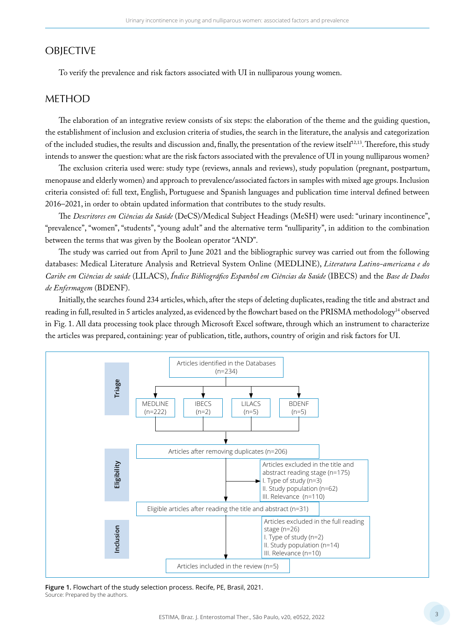### **OBJECTIVE**

To verify the prevalence and risk factors associated with UI in nulliparous young women.

### METHOD

The elaboration of an integrative review consists of six steps: the elaboration of the theme and the guiding question, the establishment of inclusion and exclusion criteria of studies, the search in the literature, the analysis and categorization of the included studies, the results and discussion and, finally, the presentation of the review itself<sup>12,13</sup>. Therefore, this study intends to answer the question: what are the risk factors associated with the prevalence of UI in young nulliparous women?

The exclusion criteria used were: study type (reviews, annals and reviews), study population (pregnant, postpartum, menopause and elderly women) and approach to prevalence/associated factors in samples with mixed age groups. Inclusion criteria consisted of: full text, English, Portuguese and Spanish languages and publication time interval defined between 2016–2021, in order to obtain updated information that contributes to the study results.

The *Descritores em Ciências da Saúde* (DeCS)/Medical Subject Headings (MeSH) were used: "urinary incontinence", "prevalence", "women", "students", "young adult" and the alternative term "nulliparity", in addition to the combination between the terms that was given by the Boolean operator "AND".

The study was carried out from April to June 2021 and the bibliographic survey was carried out from the following databases: Medical Literature Analysis and Retrieval System Online (MEDLINE), *Literatura Latino-americana e do Caribe em Ciências de saúde* (LILACS), *Índice Bibliográfico Espanhol em Ciências da Saúde* (IBECS) and the *Base de Dados de Enfermagem* (BDENF).

Initially, the searches found 234 articles, which, after the steps of deleting duplicates, reading the title and abstract and reading in full, resulted in 5 articles analyzed, as evidenced by the flowchart based on the PRISMA methodology14 observed in Fig. 1. All data processing took place through Microsoft Excel software, through which an instrument to characterize the articles was prepared, containing: year of publication, title, authors, country of origin and risk factors for UI.



**Figure 1.** Flowchart of the study selection process. Recife, PE, Brasil, 2021. Source: Prepared by the authors.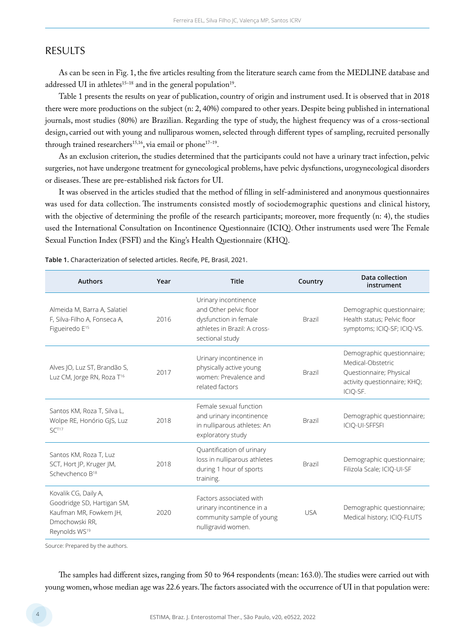### RESULTS

As can be seen in Fig. 1, the five articles resulting from the literature search came from the MEDLINE database and addressed UI in athletes<sup>15-18</sup> and in the general population<sup>19</sup>.

Table 1 presents the results on year of publication, country of origin and instrument used. It is observed that in 2018 there were more productions on the subject (n: 2, 40%) compared to other years. Despite being published in international journals, most studies (80%) are Brazilian. Regarding the type of study, the highest frequency was of a cross-sectional design, carried out with young and nulliparous women, selected through different types of sampling, recruited personally through trained researchers<sup>15,16</sup>, via email or phone<sup>17-19</sup>.

As an exclusion criterion, the studies determined that the participants could not have a urinary tract infection, pelvic surgeries, not have undergone treatment for gynecological problems, have pelvic dysfunctions, urogynecological disorders or diseases. These are pre-established risk factors for UI.

It was observed in the articles studied that the method of filling in self-administered and anonymous questionnaires was used for data collection. The instruments consisted mostly of sociodemographic questions and clinical history, with the objective of determining the profile of the research participants; moreover, more frequently (n: 4), the studies used the International Consultation on Incontinence Questionnaire (ICIQ). Other instruments used were The Female Sexual Function Index (FSFI) and the King's Health Questionnaire (KHQ).

| <b>Authors</b>                                                                                                              | Year | <b>Title</b>                                                                                                               | Country       | Data collection<br>instrument                                                                                          |
|-----------------------------------------------------------------------------------------------------------------------------|------|----------------------------------------------------------------------------------------------------------------------------|---------------|------------------------------------------------------------------------------------------------------------------------|
| Almeida M, Barra A, Salatiel<br>F, Silva-Filho A, Fonseca A,<br>Figueiredo E <sup>15</sup>                                  | 2016 | Urinary incontinence<br>and Other pelvic floor<br>dysfunction in female<br>athletes in Brazil: A cross-<br>sectional study | <b>Brazil</b> | Demographic questionnaire;<br>Health status; Pelvic floor<br>symptoms; ICIQ-SF; ICIQ-VS.                               |
| Alves JO, Luz ST, Brandão S,<br>Luz CM, Jorge RN, Roza T <sup>16</sup>                                                      | 2017 | Urinary incontinence in<br>physically active young<br>women: Prevalence and<br>related factors                             | <b>Brazil</b> | Demographic questionnaire;<br>Medical-Obstetric<br>Questionnaire; Physical<br>activity questionnaire; KHQ;<br>ICIQ-SF. |
| Santos KM, Roza T, Silva L,<br>Wolpe RE, Honório GJS, Luz<br>$SC^{T17}$                                                     | 2018 | Female sexual function<br>and urinary incontinence<br>Brazil<br>in nulliparous athletes: An<br>exploratory study           |               | Demographic questionnaire;<br>ICIO-UI-SFFSFI                                                                           |
| Santos KM, Roza T, Luz<br>SCT, Hort JP, Kruger JM,<br>Schevchenco B <sup>18</sup>                                           | 2018 | Quantification of urinary<br>loss in nulliparous athletes<br>during 1 hour of sports<br>training.                          | <b>Brazil</b> | Demographic questionnaire;<br>Filizola Scale; ICIQ-UI-SF                                                               |
| Kovalik CG, Daily A,<br>Goodridge SD, Hartigan SM,<br>Kaufman MR, Fowkem JH,<br>Dmochowski RR.<br>Reynolds WS <sup>19</sup> | 2020 | Factors associated with<br>urinary incontinence in a<br>community sample of young<br>nulligravid women.                    | <b>USA</b>    | Demographic questionnaire;<br>Medical history; ICIQ-FLUTS                                                              |

**Table 1.** Characterization of selected articles. Recife, PE, Brasil, 2021.

Source: Prepared by the authors.

The samples had different sizes, ranging from 50 to 964 respondents (mean: 163.0). The studies were carried out with young women, whose median age was 22.6 years. The factors associated with the occurrence of UI in that population were: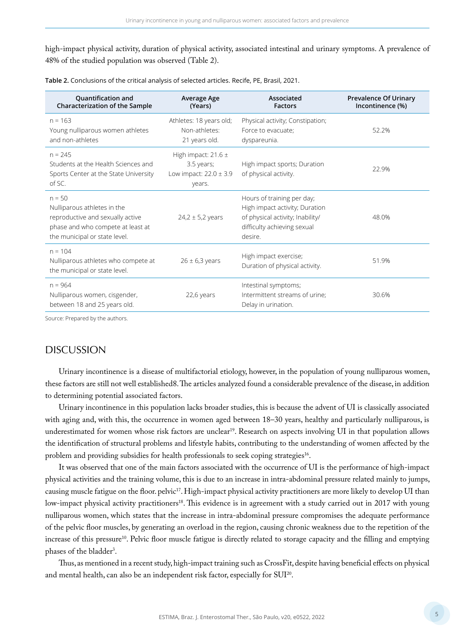high-impact physical activity, duration of physical activity, associated intestinal and urinary symptoms. A prevalence of 48% of the studied population was observed (Table 2).

| <b>Quantification and</b><br>Characterization of the Sample                                                                                       | Average Age<br>(Years)                                                        | Associated<br><b>Factors</b>                                                                                                               | <b>Prevalence Of Urinary</b><br>Incontinence (%) |
|---------------------------------------------------------------------------------------------------------------------------------------------------|-------------------------------------------------------------------------------|--------------------------------------------------------------------------------------------------------------------------------------------|--------------------------------------------------|
| $n = 163$<br>Young nulliparous women athletes<br>and non-athletes                                                                                 | Athletes: 18 years old;<br>Non-athletes:<br>21 years old.                     | Physical activity; Constipation;<br>Force to evacuate:<br>dyspareunia.                                                                     | 52.2%                                            |
| $n = 245$<br>Students at the Health Sciences and<br>Sports Center at the State University<br>$of$ SC.                                             | High impact: $21.6 \pm$<br>3.5 years;<br>Low impact: $22.0 \pm 3.9$<br>years. | High impact sports; Duration<br>of physical activity.                                                                                      | 22.9%                                            |
| $n = 50$<br>Nulliparous athletes in the<br>reproductive and sexually active<br>phase and who compete at least at<br>the municipal or state level. | $24.2 \pm 5.2$ years                                                          | Hours of training per day;<br>High impact activity; Duration<br>of physical activity; Inability/<br>difficulty achieving sexual<br>desire. | 48.0%                                            |
| $n = 104$<br>Nulliparous athletes who compete at<br>the municipal or state level.                                                                 | $26 \pm 6.3$ years                                                            | High impact exercise;<br>Duration of physical activity.                                                                                    | 51.9%                                            |
| $n = 964$<br>Nulliparous women, cisgender,<br>between 18 and 25 years old.                                                                        | 22,6 years                                                                    | Intestinal symptoms;<br>Intermittent streams of urine;<br>Delay in urination.                                                              | 30.6%                                            |

**Table 2.** Conclusions of the critical analysis of selected articles. Recife, PE, Brasil, 2021.

Source: Prepared by the authors.

### **DISCUSSION**

Urinary incontinence is a disease of multifactorial etiology, however, in the population of young nulliparous women, these factors are still not well established8. The articles analyzed found a considerable prevalence of the disease, in addition to determining potential associated factors.

Urinary incontinence in this population lacks broader studies, this is because the advent of UI is classically associated with aging and, with this, the occurrence in women aged between 18–30 years, healthy and particularly nulliparous, is underestimated for women whose risk factors are unclear<sup>19</sup>. Research on aspects involving UI in that population allows the identification of structural problems and lifestyle habits, contributing to the understanding of women affected by the problem and providing subsidies for health professionals to seek coping strategies<sup>16</sup>.

It was observed that one of the main factors associated with the occurrence of UI is the performance of high-impact physical activities and the training volume, this is due to an increase in intra-abdominal pressure related mainly to jumps, causing muscle fatigue on the floor. pelvic17. High-impact physical activity practitioners are more likely to develop UI than low-impact physical activity practitioners<sup>18</sup>. This evidence is in agreement with a study carried out in 2017 with young nulliparous women, which states that the increase in intra-abdominal pressure compromises the adequate performance of the pelvic floor muscles, by generating an overload in the region, causing chronic weakness due to the repetition of the increase of this pressure<sup>10</sup>. Pelvic floor muscle fatigue is directly related to storage capacity and the filling and emptying phases of the bladder<sup>3</sup>.

Thus, as mentioned in a recent study, high-impact training such as CrossFit, despite having beneficial effects on physical and mental health, can also be an independent risk factor, especially for SUI20.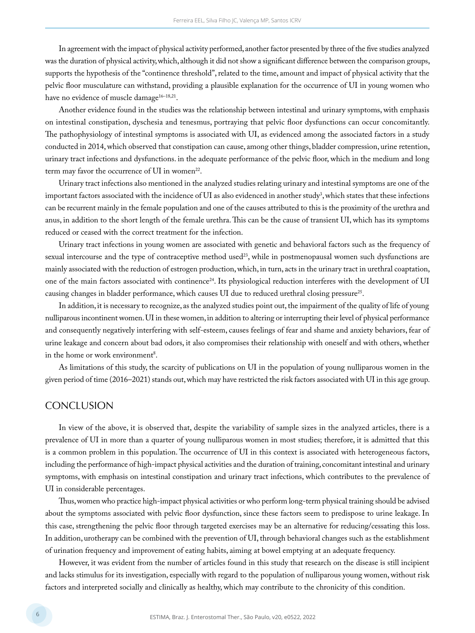In agreement with the impact of physical activity performed, another factor presented by three of the five studies analyzed was the duration of physical activity, which, although it did not show a significant difference between the comparison groups, supports the hypothesis of the "continence threshold", related to the time, amount and impact of physical activity that the pelvic floor musculature can withstand, providing a plausible explanation for the occurrence of UI in young women who have no evidence of muscle damage<sup>16-18,21</sup>.

Another evidence found in the studies was the relationship between intestinal and urinary symptoms, with emphasis on intestinal constipation, dyschesia and tenesmus, portraying that pelvic floor dysfunctions can occur concomitantly. The pathophysiology of intestinal symptoms is associated with UI, as evidenced among the associated factors in a study conducted in 2014, which observed that constipation can cause, among other things, bladder compression, urine retention, urinary tract infections and dysfunctions. in the adequate performance of the pelvic floor, which in the medium and long term may favor the occurrence of UI in women<sup>22</sup>.

Urinary tract infections also mentioned in the analyzed studies relating urinary and intestinal symptoms are one of the important factors associated with the incidence of UI as also evidenced in another study<sup>3</sup>, which states that these infections can be recurrent mainly in the female population and one of the causes attributed to this is the proximity of the urethra and anus, in addition to the short length of the female urethra. This can be the cause of transient UI, which has its symptoms reduced or ceased with the correct treatment for the infection.

Urinary tract infections in young women are associated with genetic and behavioral factors such as the frequency of sexual intercourse and the type of contraceptive method used<sup>23</sup>, while in postmenopausal women such dysfunctions are mainly associated with the reduction of estrogen production, which, in turn, acts in the urinary tract in urethral coaptation, one of the main factors associated with continence<sup>24</sup>. Its physiological reduction interferes with the development of UI causing changes in bladder performance, which causes UI due to reduced urethral closing pressure<sup>25</sup>.

In addition, it is necessary to recognize, as the analyzed studies point out, the impairment of the quality of life of young nulliparous incontinent women. UI in these women, in addition to altering or interrupting their level of physical performance and consequently negatively interfering with self-esteem, causes feelings of fear and shame and anxiety behaviors, fear of urine leakage and concern about bad odors, it also compromises their relationship with oneself and with others, whether in the home or work environment<sup>8</sup>.

As limitations of this study, the scarcity of publications on UI in the population of young nulliparous women in the given period of time (2016–2021) stands out, which may have restricted the risk factors associated with UI in this age group.

#### **CONCLUSION**

In view of the above, it is observed that, despite the variability of sample sizes in the analyzed articles, there is a prevalence of UI in more than a quarter of young nulliparous women in most studies; therefore, it is admitted that this is a common problem in this population. The occurrence of UI in this context is associated with heterogeneous factors, including the performance of high-impact physical activities and the duration of training, concomitant intestinal and urinary symptoms, with emphasis on intestinal constipation and urinary tract infections, which contributes to the prevalence of UI in considerable percentages.

Thus, women who practice high-impact physical activities or who perform long-term physical training should be advised about the symptoms associated with pelvic floor dysfunction, since these factors seem to predispose to urine leakage. In this case, strengthening the pelvic floor through targeted exercises may be an alternative for reducing/cessating this loss. In addition, urotherapy can be combined with the prevention of UI, through behavioral changes such as the establishment of urination frequency and improvement of eating habits, aiming at bowel emptying at an adequate frequency.

However, it was evident from the number of articles found in this study that research on the disease is still incipient and lacks stimulus for its investigation, especially with regard to the population of nulliparous young women, without risk factors and interpreted socially and clinically as healthy, which may contribute to the chronicity of this condition.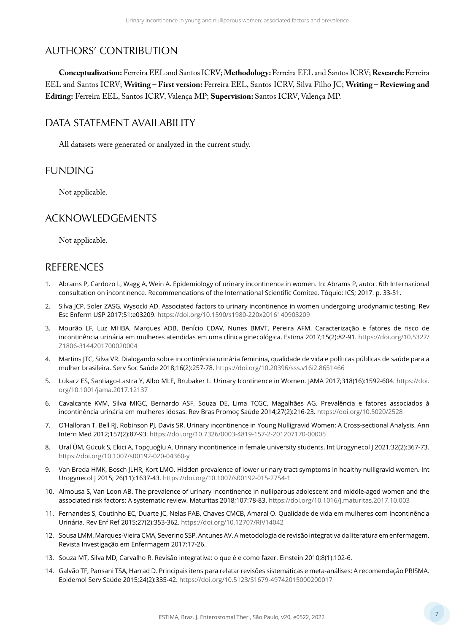# AUTHORS' CONTRIBUTION

**Conceptualization:** Ferreira EEL and Santos ICRV; **Methodology:** Ferreira EEL and Santos ICRV; **Research:** Ferreira EEL and Santos ICRV; **Writing – First version:** Ferreira EEL, Santos ICRV, Silva Filho JC; **Writing – Reviewing and Editing:** Ferreira EEL, Santos ICRV, Valença MP; **Supervision:** Santos ICRV, Valença MP.

## DATA STATEMENT AVAILABILITY

All datasets were generated or analyzed in the current study.

## FUNDING

Not applicable.

## ACKNOWLEDGEMENTS

Not applicable.

## REFERENCES

- 1. Abrams P, Cardozo L, Wagg A, Wein A. Epidemiology of urinary incontinence in women. In: Abrams P, autor. 6th Internacional consultation on incontinence. Recommendations of the International Scientific Comitee. Tóquio: ICS; 2017. p. 33-51.
- 2. Silva JCP, Soler ZASG, Wysocki AD. Associated factors to urinary incontinence in women undergoing urodynamic testing. Rev Esc Enferm USP 2017;51:e03209. <https://doi.org/10.1590/s1980-220x2016140903209>
- 3. Mourão LF, Luz MHBA, Marques ADB, Benício CDAV, Nunes BMVT, Pereira AFM. Caracterização e fatores de risco de incontinência urinária em mulheres atendidas em uma clínica ginecológica. Estima 2017;15(2):82-91. [https://doi.org/10.5327/](https://doi.org/10.5327/Z1806-3144201700020004) [Z1806-3144201700020004](https://doi.org/10.5327/Z1806-3144201700020004)
- 4. Martins JTC, Silva VR. Dialogando sobre incontinência urinária feminina, qualidade de vida e políticas públicas de saúde para a mulher brasileira. Serv Soc Saúde 2018;16(2):257-78. <https://doi.org/10.20396/sss.v16i2.8651466>
- 5. Lukacz ES, Santiago-Lastra Y, Albo MLE, Brubaker L. Urinary Icontinence in Women. JAMA 2017;318(16):1592-604. [https://doi.](https://doi.org/10.1001/jama.2017.12137) [org/10.1001/jama.2017.12137](https://doi.org/10.1001/jama.2017.12137)
- 6. Cavalcante KVM, Silva MIGC, Bernardo ASF, Souza DE, Lima TCGC, Magalhães AG. Prevalência e fatores associados à incontinência urinária em mulheres idosas. Rev Bras Promoç Saúde 2014;27(2):216-23. <https://doi.org/10.5020/2528>
- 7. O'Halloran T, Bell RJ, Robinson PJ, Davis SR. Urinary incontinence in Young Nulligravid Women: A Cross-sectional Analysis. Ann Intern Med 2012;157(2):87-93. <https://doi.org/10.7326/0003-4819-157-2-201207170-00005>
- 8. Ural ÜM, Gücük S, Ekici A, Topçuoğlu A. Urinary incontinence in female university students. Int Urogynecol J 2021;32(2):367-73. <https://doi.org/10.1007/s00192-020-04360-y>
- 9. Van Breda HMK, Bosch JLHR, Kort LMO. Hidden prevalence of lower urinary tract symptoms in healthy nulligravid women. Int Urogynecol J 2015; 26(11):1637-43.<https://doi.org/10.1007/s00192-015-2754-1>
- 10. Almousa S, Van Loon AB. The prevalence of urinary incontinence in nulliparous adolescent and middle-aged women and the associated risk factors: A systematic review. Maturitas 2018;107:78-83.<https://doi.org/10.1016/j.maturitas.2017.10.003>
- 11. Fernandes S, Coutinho EC, Duarte JC, Nelas PAB, Chaves CMCB, Amaral O. Qualidade de vida em mulheres com Incontinência Urinária. Rev Enf Ref 2015;27(2):353-362.<https://doi.org/10.12707/RIV14042>
- 12. Sousa LMM, Marques-Vieira CMA, Severino SSP, Antunes AV. A metodologia de revisão integrativa da literatura em enfermagem. Revista Investigação em Enfermagem 2017:17-26.
- 13. Souza MT, Silva MD, Carvalho R. Revisão integrativa: o que é e como fazer. Einstein 2010;8(1):102-6.
- 14. Galvão TF, Pansani TSA, Harrad D. Principais itens para relatar revisões sistemáticas e meta-análises: A recomendação PRISMA. Epidemol Serv Saúde 2015;24(2):335-42. <https://doi.org/10.5123/S1679-49742015000200017>